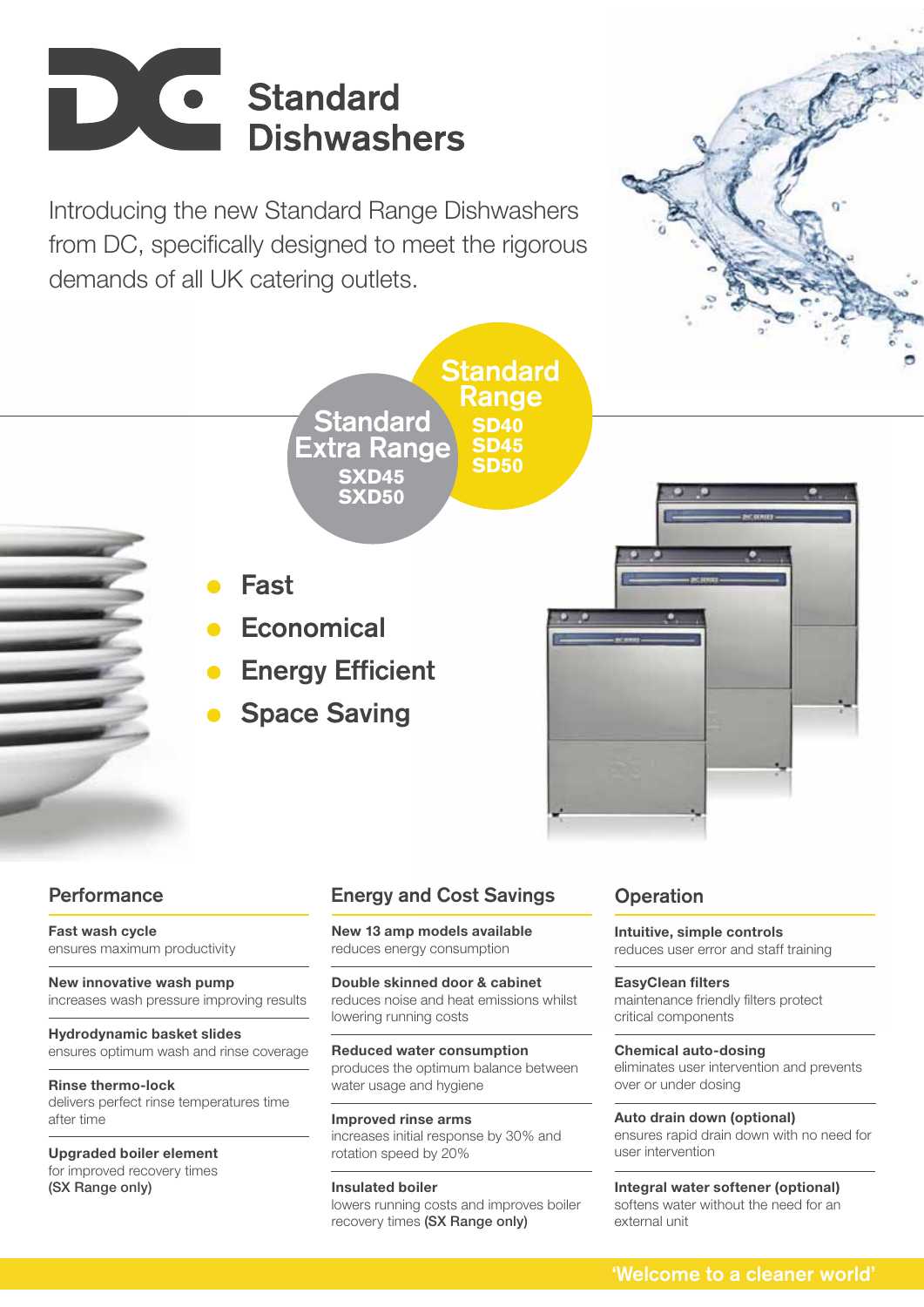

Introducing the new Standard Range Dishwashers from DC, specifically designed to meet the rigorous demands of all UK catering outlets.





## Range **SD40 SD45 SD50 SXD45 SXD50 Standard** Extra Range

**Standard** 

- Fast
- **Economical**
- Energy Efficient
- Space Saving

**Fast wash cycle** ensures maximum productivity

**New innovative wash pump**  increases wash pressure improving results

**Hydrodynamic basket slides**  ensures optimum wash and rinse coverage

**Rinse thermo-lock**  delivers perfect rinse temperatures time after time

**Upgraded boiler element** for improved recovery times (SX Range only)

# Performance **Energy and Cost Savings** Operation

**New 13 amp models available** reduces energy consumption

**Double skinned door & cabinet**  reduces noise and heat emissions whilst lowering running costs

**Reduced water consumption**  produces the optimum balance between water usage and hygiene

**Improved rinse arms** increases initial response by 30% and rotation speed by 20%

### **Insulated boiler** lowers running costs and improves boiler recovery times (SX Range only)

**Intuitive, simple controls** reduces user error and staff training

**EasyClean filters** maintenance friendly filters protect critical components

**Chemical auto-dosing**  eliminates user intervention and prevents over or under dosing

**Auto drain down (optional)**  ensures rapid drain down with no need for user intervention

### **Integral water softener (optional)** softens water without the need for an external unit